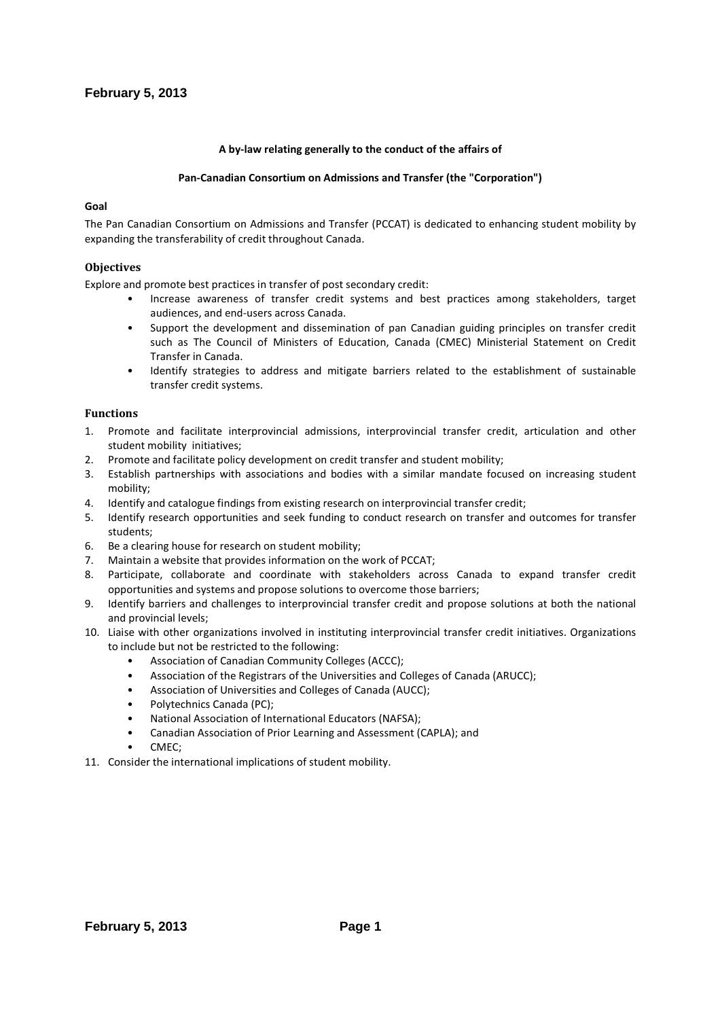## **A by-law relating generally to the conduct of the affairs of**

## **Pan-Canadian Consortium on Admissions and Transfer (the "Corporation")**

## **Goal**

The Pan Canadian Consortium on Admissions and Transfer (PCCAT) is dedicated to enhancing student mobility by expanding the transferability of credit throughout Canada.

## **Objectives**

Explore and promote best practices in transfer of post secondary credit:

- Increase awareness of transfer credit systems and best practices among stakeholders, target audiences, and end-users across Canada.
- Support the development and dissemination of pan Canadian guiding principles on transfer credit such as The Council of Ministers of Education, Canada (CMEC) Ministerial Statement on Credit Transfer in Canada.
- Identify strategies to address and mitigate barriers related to the establishment of sustainable transfer credit systems.

## **Functions**

- 1. Promote and facilitate interprovincial admissions, interprovincial transfer credit, articulation and other student mobility initiatives;
- 2. Promote and facilitate policy development on credit transfer and student mobility;
- 3. Establish partnerships with associations and bodies with a similar mandate focused on increasing student mobility;
- 4. Identify and catalogue findings from existing research on interprovincial transfer credit;
- 5. Identify research opportunities and seek funding to conduct research on transfer and outcomes for transfer students;
- 6. Be a clearing house for research on student mobility;
- 7. Maintain a website that provides information on the work of PCCAT;
- 8. Participate, collaborate and coordinate with stakeholders across Canada to expand transfer credit opportunities and systems and propose solutions to overcome those barriers;
- 9. Identify barriers and challenges to interprovincial transfer credit and propose solutions at both the national and provincial levels;
- 10. Liaise with other organizations involved in instituting interprovincial transfer credit initiatives. Organizations to include but not be restricted to the following:
	- Association of Canadian Community Colleges (ACCC);
	- Association of the Registrars of the Universities and Colleges of Canada (ARUCC);
	- Association of Universities and Colleges of Canada (AUCC);
	- Polytechnics Canada (PC);
	- National Association of International Educators (NAFSA);
	- Canadian Association of Prior Learning and Assessment (CAPLA); and
	- CMEC;
- 11. Consider the international implications of student mobility.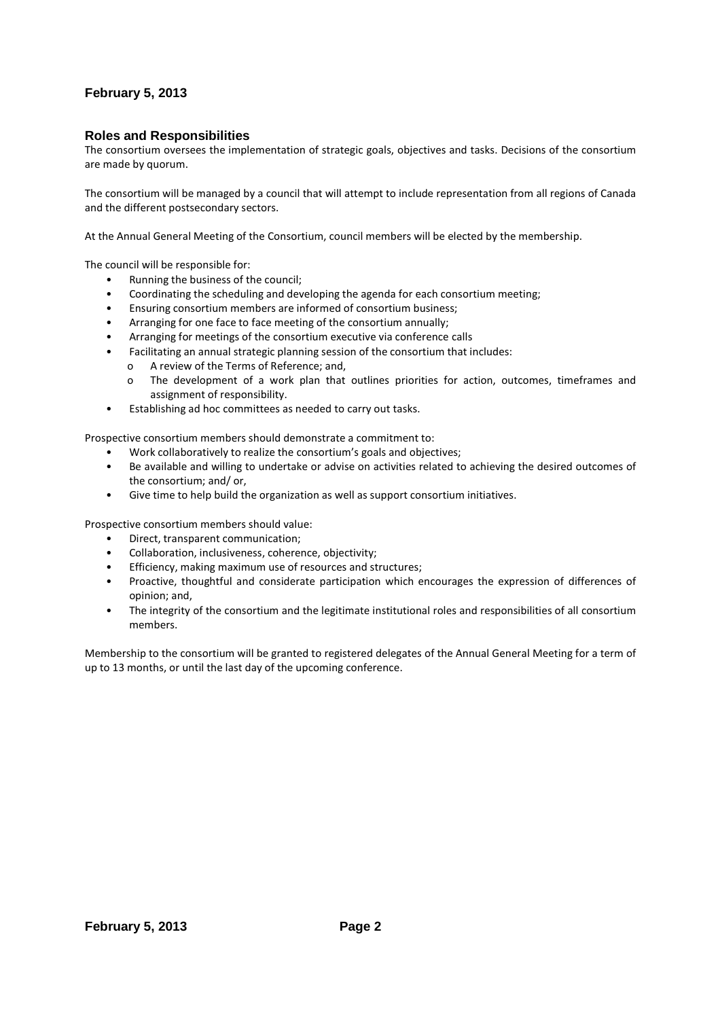## **Roles and Responsibilities**

The consortium oversees the implementation of strategic goals, objectives and tasks. Decisions of the consortium are made by quorum.

The consortium will be managed by a council that will attempt to include representation from all regions of Canada and the different postsecondary sectors.

At the Annual General Meeting of the Consortium, council members will be elected by the membership.

The council will be responsible for:

- Running the business of the council;
- Coordinating the scheduling and developing the agenda for each consortium meeting;
- Ensuring consortium members are informed of consortium business;
- Arranging for one face to face meeting of the consortium annually;
- Arranging for meetings of the consortium executive via conference calls
- Facilitating an annual strategic planning session of the consortium that includes:
	- o A review of the Terms of Reference; and,
	- o The development of a work plan that outlines priorities for action, outcomes, timeframes and assignment of responsibility.
- Establishing ad hoc committees as needed to carry out tasks.

Prospective consortium members should demonstrate a commitment to:

- Work collaboratively to realize the consortium's goals and objectives;
- Be available and willing to undertake or advise on activities related to achieving the desired outcomes of the consortium; and/ or,
- Give time to help build the organization as well as support consortium initiatives.

Prospective consortium members should value:

- Direct, transparent communication;
- Collaboration, inclusiveness, coherence, objectivity;
- Efficiency, making maximum use of resources and structures;
- Proactive, thoughtful and considerate participation which encourages the expression of differences of opinion; and,
- The integrity of the consortium and the legitimate institutional roles and responsibilities of all consortium members.

Membership to the consortium will be granted to registered delegates of the Annual General Meeting for a term of up to 13 months, or until the last day of the upcoming conference.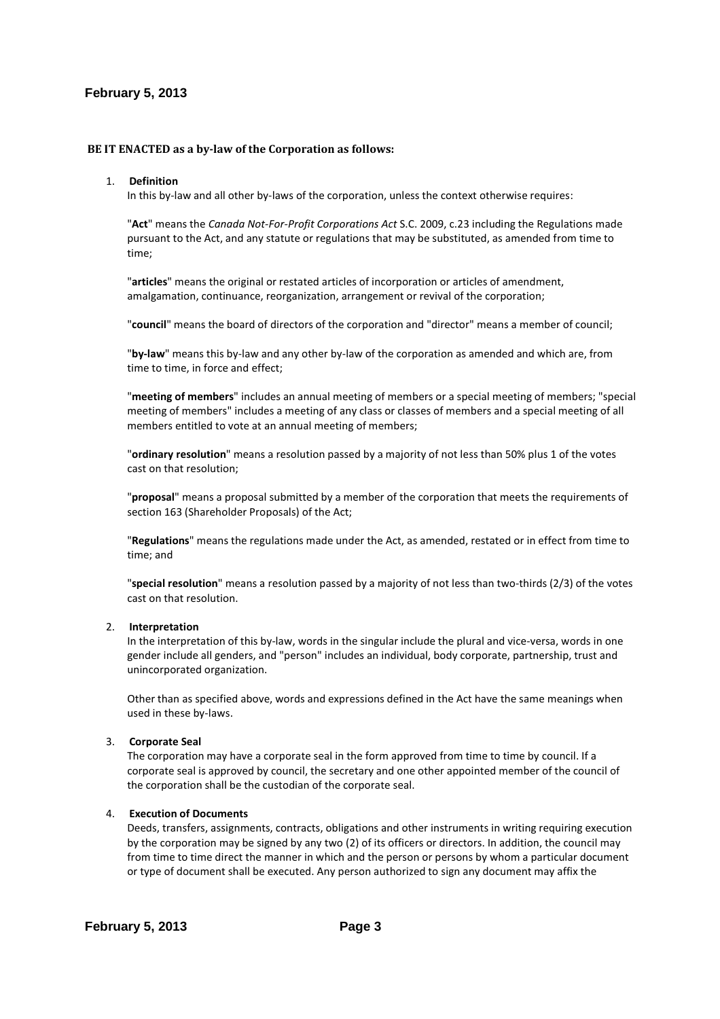## **BE IT ENACTED as a by-law of the Corporation as follows:**

#### 1. **Definition**

In this by-law and all other by-laws of the corporation, unless the context otherwise requires:

"**Act**" means the *Canada Not-For-Profit Corporations Act* S.C. 2009, c.23 including the Regulations made pursuant to the Act, and any statute or regulations that may be substituted, as amended from time to time;

"**articles**" means the original or restated articles of incorporation or articles of amendment, amalgamation, continuance, reorganization, arrangement or revival of the corporation;

"**council**" means the board of directors of the corporation and "director" means a member of council;

"**by-law**" means this by-law and any other by-law of the corporation as amended and which are, from time to time, in force and effect;

"**meeting of members**" includes an annual meeting of members or a special meeting of members; "special meeting of members" includes a meeting of any class or classes of members and a special meeting of all members entitled to vote at an annual meeting of members;

"**ordinary resolution**" means a resolution passed by a majority of not less than 50% plus 1 of the votes cast on that resolution;

"**proposal**" means a proposal submitted by a member of the corporation that meets the requirements of section 163 (Shareholder Proposals) of the Act;

"**Regulations**" means the regulations made under the Act, as amended, restated or in effect from time to time; and

"**special resolution**" means a resolution passed by a majority of not less than two-thirds (2/3) of the votes cast on that resolution.

#### 2. **Interpretation**

In the interpretation of this by-law, words in the singular include the plural and vice-versa, words in one gender include all genders, and "person" includes an individual, body corporate, partnership, trust and unincorporated organization.

Other than as specified above, words and expressions defined in the Act have the same meanings when used in these by-laws.

#### 3. **Corporate Seal**

The corporation may have a corporate seal in the form approved from time to time by council. If a corporate seal is approved by council, the secretary and one other appointed member of the council of the corporation shall be the custodian of the corporate seal.

## 4. **Execution of Documents**

Deeds, transfers, assignments, contracts, obligations and other instruments in writing requiring execution by the corporation may be signed by any two (2) of its officers or directors. In addition, the council may from time to time direct the manner in which and the person or persons by whom a particular document or type of document shall be executed. Any person authorized to sign any document may affix the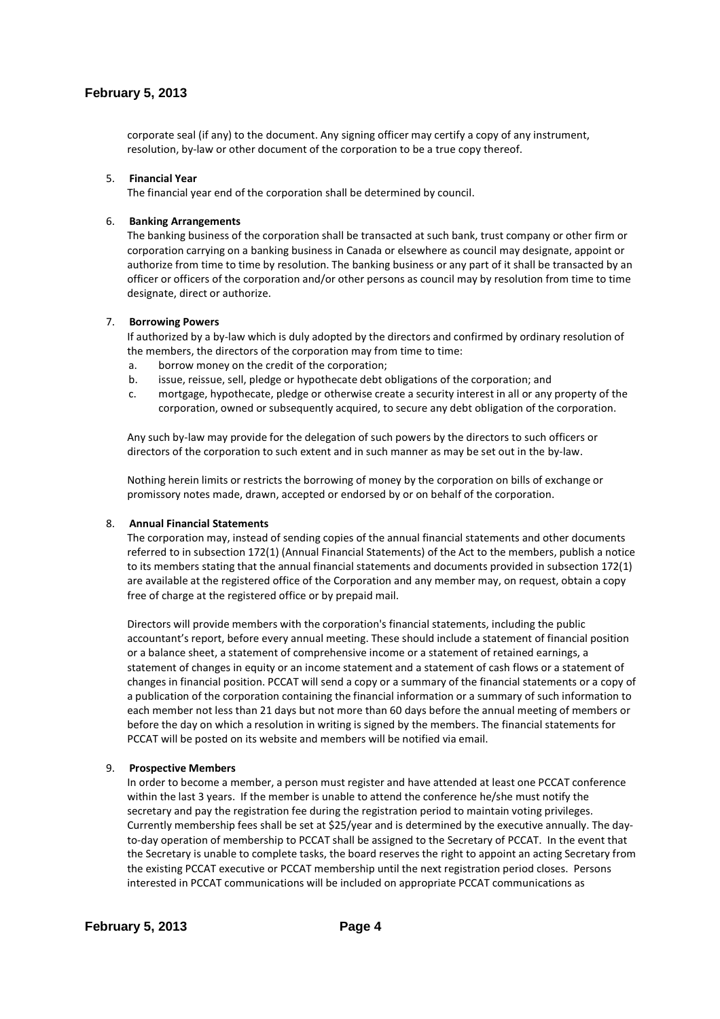corporate seal (if any) to the document. Any signing officer may certify a copy of any instrument, resolution, by-law or other document of the corporation to be a true copy thereof.

### 5. **Financial Year**

The financial year end of the corporation shall be determined by council.

### 6. **Banking Arrangements**

The banking business of the corporation shall be transacted at such bank, trust company or other firm or corporation carrying on a banking business in Canada or elsewhere as council may designate, appoint or authorize from time to time by resolution. The banking business or any part of it shall be transacted by an officer or officers of the corporation and/or other persons as council may by resolution from time to time designate, direct or authorize.

### 7. **Borrowing Powers**

If authorized by a by-law which is duly adopted by the directors and confirmed by ordinary resolution of the members, the directors of the corporation may from time to time:

- a. borrow money on the credit of the corporation;
- b. issue, reissue, sell, pledge or hypothecate debt obligations of the corporation; and
- c. mortgage, hypothecate, pledge or otherwise create a security interest in all or any property of the corporation, owned or subsequently acquired, to secure any debt obligation of the corporation.

Any such by-law may provide for the delegation of such powers by the directors to such officers or directors of the corporation to such extent and in such manner as may be set out in the by-law.

Nothing herein limits or restricts the borrowing of money by the corporation on bills of exchange or promissory notes made, drawn, accepted or endorsed by or on behalf of the corporation.

#### 8. **Annual Financial Statements**

The corporation may, instead of sending copies of the annual financial statements and other documents referred to in subsection 172(1) (Annual Financial Statements) of the Act to the members, publish a notice to its members stating that the annual financial statements and documents provided in subsection 172(1) are available at the registered office of the Corporation and any member may, on request, obtain a copy free of charge at the registered office or by prepaid mail.

Directors will provide members with the corporation's financial statements, including the public accountant's report, before every annual meeting. These should include a statement of financial position or a balance sheet, a statement of comprehensive income or a statement of retained earnings, a statement of changes in equity or an income statement and a statement of cash flows or a statement of changes in financial position. PCCAT will send a copy or a summary of the financial statements or a copy of a publication of the corporation containing the financial information or a summary of such information to each member not less than 21 days but not more than 60 days before the annual meeting of members or before the day on which a resolution in writing is signed by the members. The financial statements for PCCAT will be posted on its website and members will be notified via email.

#### 9. **Prospective Members**

In order to become a member, a person must register and have attended at least one PCCAT conference within the last 3 years. If the member is unable to attend the conference he/she must notify the secretary and pay the registration fee during the registration period to maintain voting privileges. Currently membership fees shall be set at \$25/year and is determined by the executive annually. The dayto-day operation of membership to PCCAT shall be assigned to the Secretary of PCCAT. In the event that the Secretary is unable to complete tasks, the board reserves the right to appoint an acting Secretary from the existing PCCAT executive or PCCAT membership until the next registration period closes. Persons interested in PCCAT communications will be included on appropriate PCCAT communications as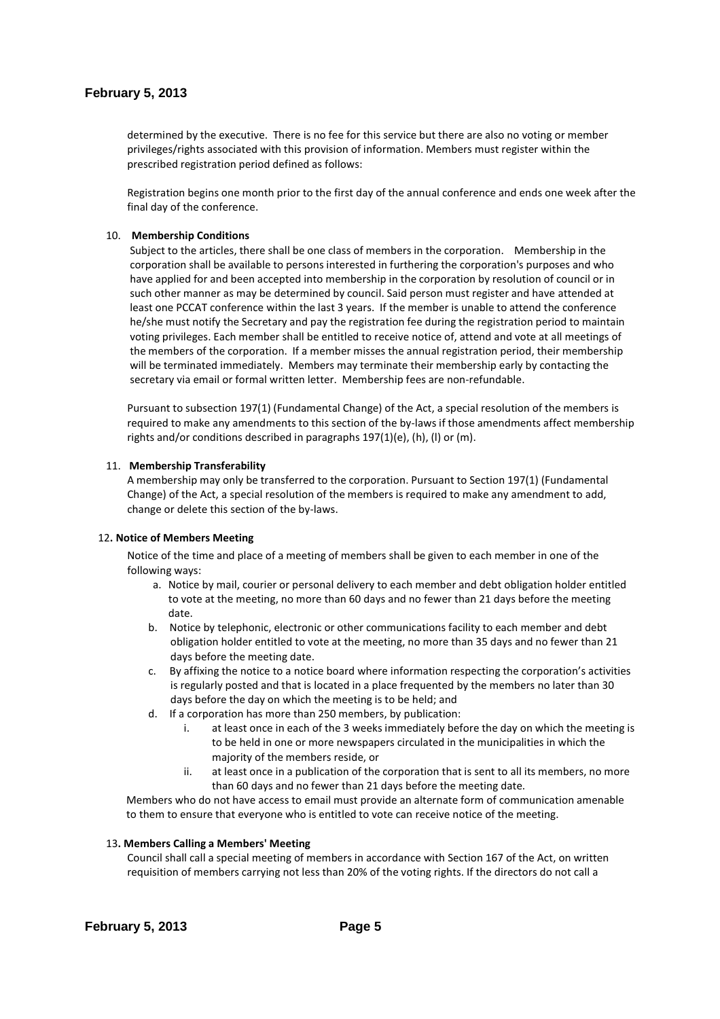determined by the executive. There is no fee for this service but there are also no voting or member privileges/rights associated with this provision of information. Members must register within the prescribed registration period defined as follows:

Registration begins one month prior to the first day of the annual conference and ends one week after the final day of the conference.

### 10. **Membership Conditions**

Subject to the articles, there shall be one class of members in the corporation. Membership in the corporation shall be available to persons interested in furthering the corporation's purposes and who have applied for and been accepted into membership in the corporation by resolution of council or in such other manner as may be determined by council. Said person must register and have attended at least one PCCAT conference within the last 3 years. If the member is unable to attend the conference he/she must notify the Secretary and pay the registration fee during the registration period to maintain voting privileges. Each member shall be entitled to receive notice of, attend and vote at all meetings of the members of the corporation. If a member misses the annual registration period, their membership will be terminated immediately. Members may terminate their membership early by contacting the secretary via email or formal written letter. Membership fees are non-refundable.

Pursuant to subsection 197(1) (Fundamental Change) of the Act, a special resolution of the members is required to make any amendments to this section of the by-laws if those amendments affect membership rights and/or conditions described in paragraphs 197(1)(e), (h), (l) or (m).

#### 11. **Membership Transferability**

A membership may only be transferred to the corporation. Pursuant to Section 197(1) (Fundamental Change) of the Act, a special resolution of the members is required to make any amendment to add, change or delete this section of the by-laws.

#### 12**. Notice of Members Meeting**

Notice of the time and place of a meeting of members shall be given to each member in one of the following ways:

- a. Notice by mail, courier or personal delivery to each member and debt obligation holder entitled to vote at the meeting, no more than 60 days and no fewer than 21 days before the meeting date.
- b. Notice by telephonic, electronic or other communications facility to each member and debt obligation holder entitled to vote at the meeting, no more than 35 days and no fewer than 21 days before the meeting date.
- c. By affixing the notice to a notice board where information respecting the corporation's activities is regularly posted and that is located in a place frequented by the members no later than 30 days before the day on which the meeting is to be held; and
- d. If a corporation has more than 250 members, by publication:
	- i. at least once in each of the 3 weeks immediately before the day on which the meeting is to be held in one or more newspapers circulated in the municipalities in which the majority of the members reside, or
	- ii. at least once in a publication of the corporation that is sent to all its members, no more than 60 days and no fewer than 21 days before the meeting date.

Members who do not have access to email must provide an alternate form of communication amenable to them to ensure that everyone who is entitled to vote can receive notice of the meeting.

### 13**. Members Calling a Members' Meeting**

Council shall call a special meeting of members in accordance with Section 167 of the Act, on written requisition of members carrying not less than 20% of the voting rights. If the directors do not call a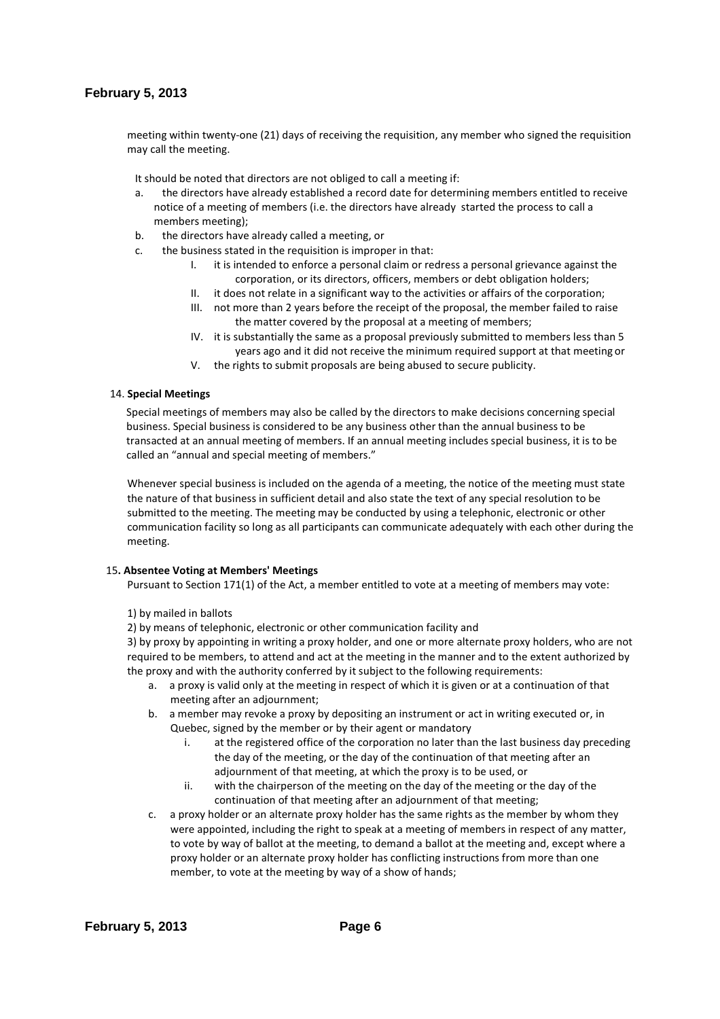meeting within twenty-one (21) days of receiving the requisition, any member who signed the requisition may call the meeting.

It should be noted that directors are not obliged to call a meeting if:

- a. the directors have already established a record date for determining members entitled to receive notice of a meeting of members (i.e. the directors have already started the process to call a members meeting);
- b. the directors have already called a meeting, or
- c. the business stated in the requisition is improper in that:
	- it is intended to enforce a personal claim or redress a personal grievance against the corporation, or its directors, officers, members or debt obligation holders;
	- II. it does not relate in a significant way to the activities or affairs of the corporation;
	- III. not more than 2 years before the receipt of the proposal, the member failed to raise the matter covered by the proposal at a meeting of members;
	- IV. it is substantially the same as a proposal previously submitted to members less than 5 years ago and it did not receive the minimum required support at that meeting or
	- V. the rights to submit proposals are being abused to secure publicity.

### 14. **Special Meetings**

Special meetings of members may also be called by the directors to make decisions concerning special business. Special business is considered to be any business other than the annual business to be transacted at an annual meeting of members. If an annual meeting includes special business, it is to be called an "annual and special meeting of members."

Whenever special business is included on the agenda of a meeting, the notice of the meeting must state the nature of that business in sufficient detail and also state the text of any special resolution to be submitted to the meeting. The meeting may be conducted by using a telephonic, electronic or other communication facility so long as all participants can communicate adequately with each other during the meeting.

### 15**. Absentee Voting at Members' Meetings**

Pursuant to Section 171(1) of the Act, a member entitled to vote at a meeting of members may vote:

1) by mailed in ballots

2) by means of telephonic, electronic or other communication facility and

3) by proxy by appointing in writing a proxy holder, and one or more alternate proxy holders, who are not required to be members, to attend and act at the meeting in the manner and to the extent authorized by the proxy and with the authority conferred by it subject to the following requirements:

- a. a proxy is valid only at the meeting in respect of which it is given or at a continuation of that meeting after an adjournment;
- b. a member may revoke a proxy by depositing an instrument or act in writing executed or, in Quebec, signed by the member or by their agent or mandatory
	- i. at the registered office of the corporation no later than the last business day preceding the day of the meeting, or the day of the continuation of that meeting after an adjournment of that meeting, at which the proxy is to be used, or
	- ii. with the chairperson of the meeting on the day of the meeting or the day of the continuation of that meeting after an adjournment of that meeting;
- c. a proxy holder or an alternate proxy holder has the same rights as the member by whom they were appointed, including the right to speak at a meeting of members in respect of any matter, to vote by way of ballot at the meeting, to demand a ballot at the meeting and, except where a proxy holder or an alternate proxy holder has conflicting instructions from more than one member, to vote at the meeting by way of a show of hands;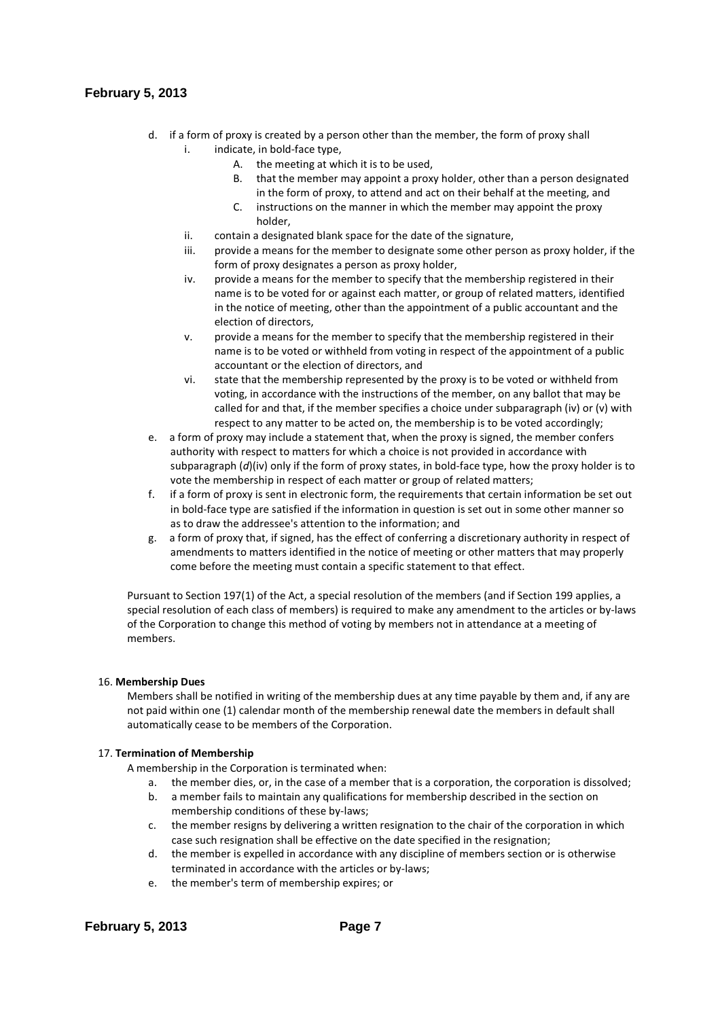- d. if a form of proxy is created by a person other than the member, the form of proxy shall i. indicate, in bold-face type,
	- A. the meeting at which it is to be used,
	- B. that the member may appoint a proxy holder, other than a person designated in the form of proxy, to attend and act on their behalf at the meeting, and
	- C. instructions on the manner in which the member may appoint the proxy holder,
	- ii. contain a designated blank space for the date of the signature,
	- iii. provide a means for the member to designate some other person as proxy holder, if the form of proxy designates a person as proxy holder,
	- iv. provide a means for the member to specify that the membership registered in their name is to be voted for or against each matter, or group of related matters, identified in the notice of meeting, other than the appointment of a public accountant and the election of directors,
	- v. provide a means for the member to specify that the membership registered in their name is to be voted or withheld from voting in respect of the appointment of a public accountant or the election of directors, and
	- vi. state that the membership represented by the proxy is to be voted or withheld from voting, in accordance with the instructions of the member, on any ballot that may be called for and that, if the member specifies a choice under subparagraph (iv) or (v) with respect to any matter to be acted on, the membership is to be voted accordingly;
- e. a form of proxy may include a statement that, when the proxy is signed, the member confers authority with respect to matters for which a choice is not provided in accordance with subparagraph (*d*)(iv) only if the form of proxy states, in bold-face type, how the proxy holder is to vote the membership in respect of each matter or group of related matters;
- f. if a form of proxy is sent in electronic form, the requirements that certain information be set out in bold-face type are satisfied if the information in question is set out in some other manner so as to draw the addressee's attention to the information; and
- g. a form of proxy that, if signed, has the effect of conferring a discretionary authority in respect of amendments to matters identified in the notice of meeting or other matters that may properly come before the meeting must contain a specific statement to that effect.

Pursuant to Section 197(1) of the Act, a special resolution of the members (and if Section 199 applies, a special resolution of each class of members) is required to make any amendment to the articles or by-laws of the Corporation to change this method of voting by members not in attendance at a meeting of members.

#### 16. **Membership Dues**

Members shall be notified in writing of the membership dues at any time payable by them and, if any are not paid within one (1) calendar month of the membership renewal date the members in default shall automatically cease to be members of the Corporation.

#### 17. **Termination of Membership**

A membership in the Corporation is terminated when:

- a. the member dies, or, in the case of a member that is a corporation, the corporation is dissolved;
- b. a member fails to maintain any qualifications for membership described in the section on membership conditions of these by-laws;
- c. the member resigns by delivering a written resignation to the chair of the corporation in which case such resignation shall be effective on the date specified in the resignation;
- d. the member is expelled in accordance with any discipline of members section or is otherwise terminated in accordance with the articles or by-laws;
- e. the member's term of membership expires; or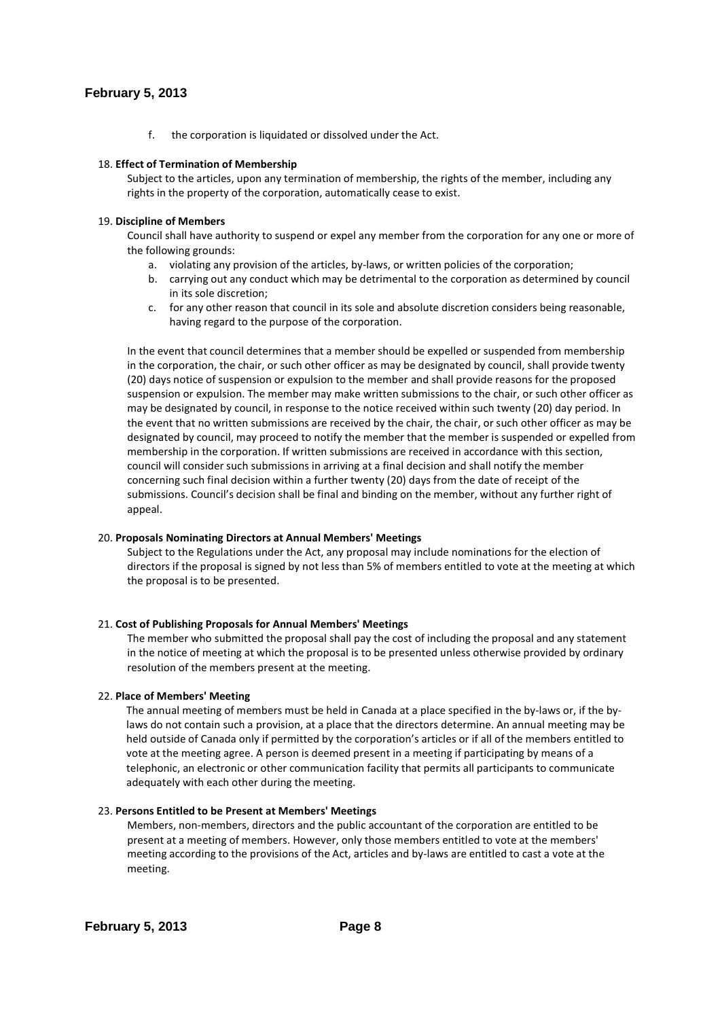f. the corporation is liquidated or dissolved under the Act.

### 18. **Effect of Termination of Membership**

Subject to the articles, upon any termination of membership, the rights of the member, including any rights in the property of the corporation, automatically cease to exist.

### 19. **Discipline of Members**

Council shall have authority to suspend or expel any member from the corporation for any one or more of the following grounds:

- a. violating any provision of the articles, by-laws, or written policies of the corporation;
- b. carrying out any conduct which may be detrimental to the corporation as determined by council in its sole discretion;
- c. for any other reason that council in its sole and absolute discretion considers being reasonable, having regard to the purpose of the corporation.

In the event that council determines that a member should be expelled or suspended from membership in the corporation, the chair, or such other officer as may be designated by council, shall provide twenty (20) days notice of suspension or expulsion to the member and shall provide reasons for the proposed suspension or expulsion. The member may make written submissions to the chair, or such other officer as may be designated by council, in response to the notice received within such twenty (20) day period. In the event that no written submissions are received by the chair, the chair, or such other officer as may be designated by council, may proceed to notify the member that the member is suspended or expelled from membership in the corporation. If written submissions are received in accordance with this section, council will consider such submissions in arriving at a final decision and shall notify the member concerning such final decision within a further twenty (20) days from the date of receipt of the submissions. Council's decision shall be final and binding on the member, without any further right of appeal.

### 20. **Proposals Nominating Directors at Annual Members' Meetings**

Subject to the Regulations under the Act, any proposal may include nominations for the election of directors if the proposal is signed by not less than 5% of members entitled to vote at the meeting at which the proposal is to be presented.

#### 21. **Cost of Publishing Proposals for Annual Members' Meetings**

The member who submitted the proposal shall pay the cost of including the proposal and any statement in the notice of meeting at which the proposal is to be presented unless otherwise provided by ordinary resolution of the members present at the meeting.

#### 22. **Place of Members' Meeting**

The annual meeting of members must be held in Canada at a place specified in the by-laws or, if the bylaws do not contain such a provision, at a place that the directors determine. An annual meeting may be held outside of Canada only if permitted by the corporation's articles or if all of the members entitled to vote at the meeting agree. A person is deemed present in a meeting if participating by means of a telephonic, an electronic or other communication facility that permits all participants to communicate adequately with each other during the meeting.

#### 23. **Persons Entitled to be Present at Members' Meetings**

Members, non-members, directors and the public accountant of the corporation are entitled to be present at a meeting of members. However, only those members entitled to vote at the members' meeting according to the provisions of the Act, articles and by-laws are entitled to cast a vote at the meeting.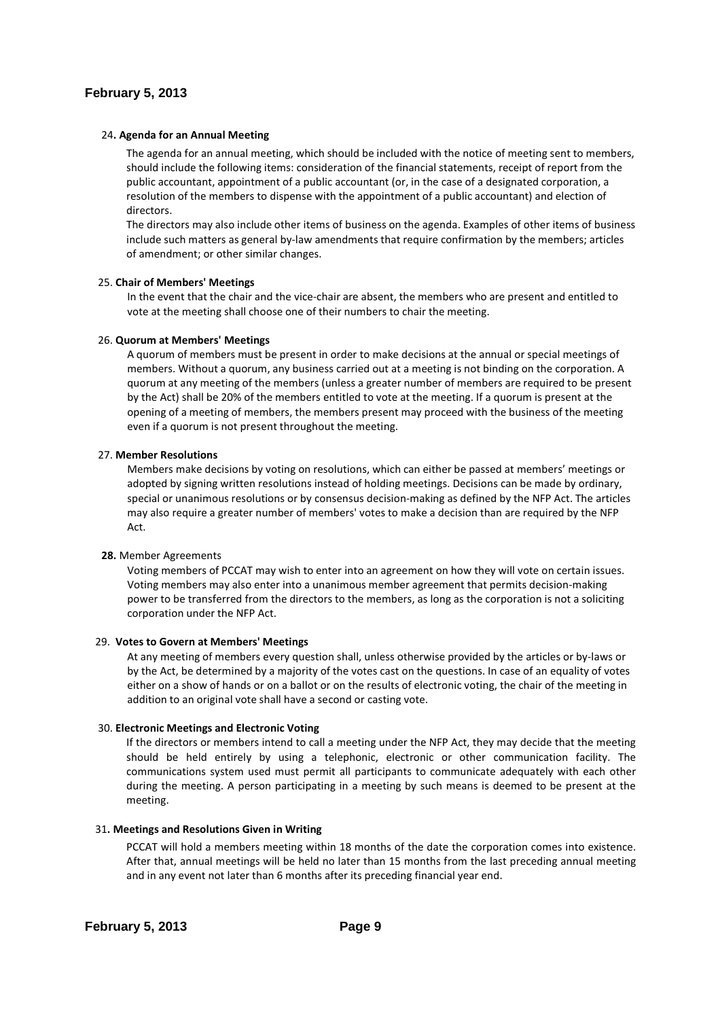### 24**. Agenda for an Annual Meeting**

The agenda for an annual meeting, which should be included with the notice of meeting sent to members, should include the following items: consideration of the financial statements, receipt of report from the public accountant, appointment of a public accountant (or, in the case of a designated corporation, a resolution of the members to dispense with the appointment of a public accountant) and election of directors.

The directors may also include other items of business on the agenda. Examples of other items of business include such matters as general by-law amendments that require confirmation by the members; articles of amendment; or other similar changes.

#### 25. **Chair of Members' Meetings**

In the event that the chair and the vice-chair are absent, the members who are present and entitled to vote at the meeting shall choose one of their numbers to chair the meeting.

#### 26. **Quorum at Members' Meetings**

A quorum of members must be present in order to make decisions at the annual or special meetings of members. Without a quorum, any business carried out at a meeting is not binding on the corporation. A quorum at any meeting of the members (unless a greater number of members are required to be present by the Act) shall be 20% of the members entitled to vote at the meeting. If a quorum is present at the opening of a meeting of members, the members present may proceed with the business of the meeting even if a quorum is not present throughout the meeting.

#### 27. **Member Resolutions**

Members make decisions by voting on resolutions, which can either be passed at members' meetings or adopted by signing written resolutions instead of holding meetings. Decisions can be made by ordinary, special or unanimous resolutions or by consensus decision-making as defined by the NFP Act. The articles may also require a greater number of members' votes to make a decision than are required by the NFP Act.

#### **28.** Member Agreements

Voting members of PCCAT may wish to enter into an agreement on how they will vote on certain issues. Voting members may also enter into a unanimous member agreement that permits decision-making power to be transferred from the directors to the members, as long as the corporation is not a soliciting corporation under the NFP Act.

#### 29. **Votes to Govern at Members' Meetings**

At any meeting of members every question shall, unless otherwise provided by the articles or by-laws or by the Act, be determined by a majority of the votes cast on the questions. In case of an equality of votes either on a show of hands or on a ballot or on the results of electronic voting, the chair of the meeting in addition to an original vote shall have a second or casting vote.

#### 30. **Electronic Meetings and Electronic Voting**

 If the directors or members intend to call a meeting under the NFP Act, they may decide that the meeting should be held entirely by using a telephonic, electronic or other communication facility. The communications system used must permit all participants to communicate adequately with each other during the meeting. A person participating in a meeting by such means is deemed to be present at the meeting.

### 31**. Meetings and Resolutions Given in Writing**

PCCAT will hold a members meeting within 18 months of the date the corporation comes into existence. After that, annual meetings will be held no later than 15 months from the last preceding annual meeting and in any event not later than 6 months after its preceding financial year end.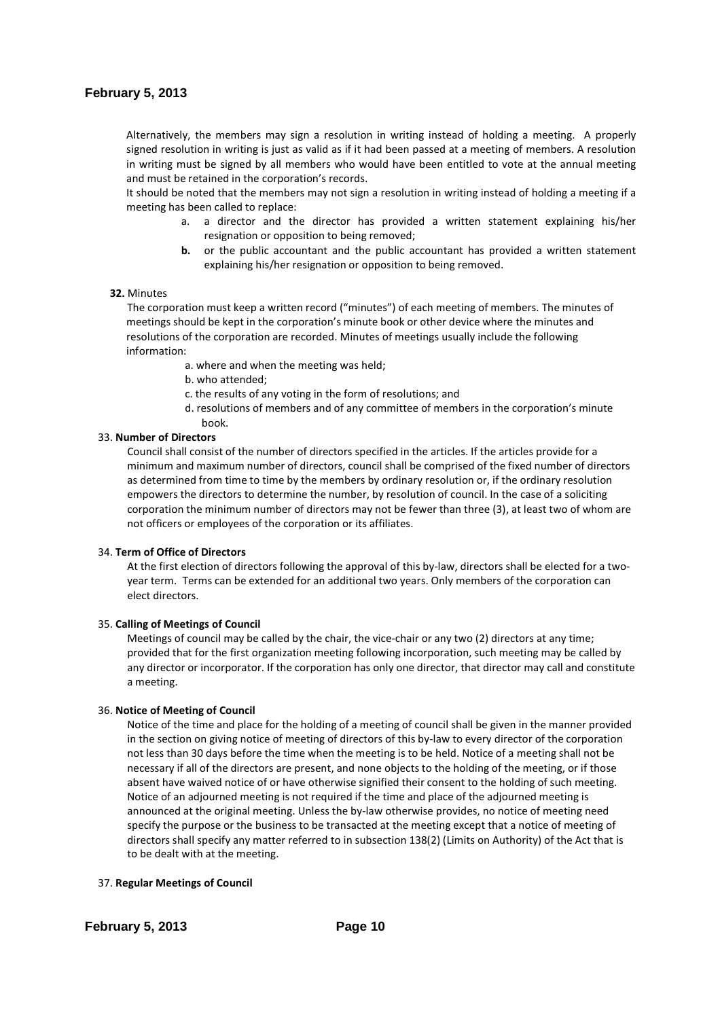Alternatively, the members may sign a resolution in writing instead of holding a meeting. A properly signed resolution in writing is just as valid as if it had been passed at a meeting of members. A resolution in writing must be signed by all members who would have been entitled to vote at the annual meeting and must be retained in the corporation's records.

It should be noted that the members may not sign a resolution in writing instead of holding a meeting if a meeting has been called to replace:

- a. a director and the director has provided a written statement explaining his/her resignation or opposition to being removed;
- **b.** or the public accountant and the public accountant has provided a written statement explaining his/her resignation or opposition to being removed.

#### **32.** Minutes

The corporation must keep a written record ("minutes") of each meeting of members. The minutes of meetings should be kept in the corporation's minute book or other device where the minutes and resolutions of the corporation are recorded. Minutes of meetings usually include the following information:

- a. where and when the meeting was held;
- b. who attended;
- c. the results of any voting in the form of resolutions; and
- d. resolutions of members and of any committee of members in the corporation's minute book.

#### 33. **Number of Directors**

Council shall consist of the number of directors specified in the articles. If the articles provide for a minimum and maximum number of directors, council shall be comprised of the fixed number of directors as determined from time to time by the members by ordinary resolution or, if the ordinary resolution empowers the directors to determine the number, by resolution of council. In the case of a soliciting corporation the minimum number of directors may not be fewer than three (3), at least two of whom are not officers or employees of the corporation or its affiliates.

#### 34. **Term of Office of Directors**

At the first election of directors following the approval of this by-law, directors shall be elected for a twoyear term. Terms can be extended for an additional two years. Only members of the corporation can elect directors.

#### 35. **Calling of Meetings of Council**

Meetings of council may be called by the chair, the vice-chair or any two (2) directors at any time; provided that for the first organization meeting following incorporation, such meeting may be called by any director or incorporator. If the corporation has only one director, that director may call and constitute a meeting.

#### 36. **Notice of Meeting of Council**

Notice of the time and place for the holding of a meeting of council shall be given in the manner provided in the section on giving notice of meeting of directors of this by-law to every director of the corporation not less than 30 days before the time when the meeting is to be held. Notice of a meeting shall not be necessary if all of the directors are present, and none objects to the holding of the meeting, or if those absent have waived notice of or have otherwise signified their consent to the holding of such meeting. Notice of an adjourned meeting is not required if the time and place of the adjourned meeting is announced at the original meeting. Unless the by-law otherwise provides, no notice of meeting need specify the purpose or the business to be transacted at the meeting except that a notice of meeting of directors shall specify any matter referred to in subsection 138(2) (Limits on Authority) of the Act that is to be dealt with at the meeting.

#### 37. **Regular Meetings of Council**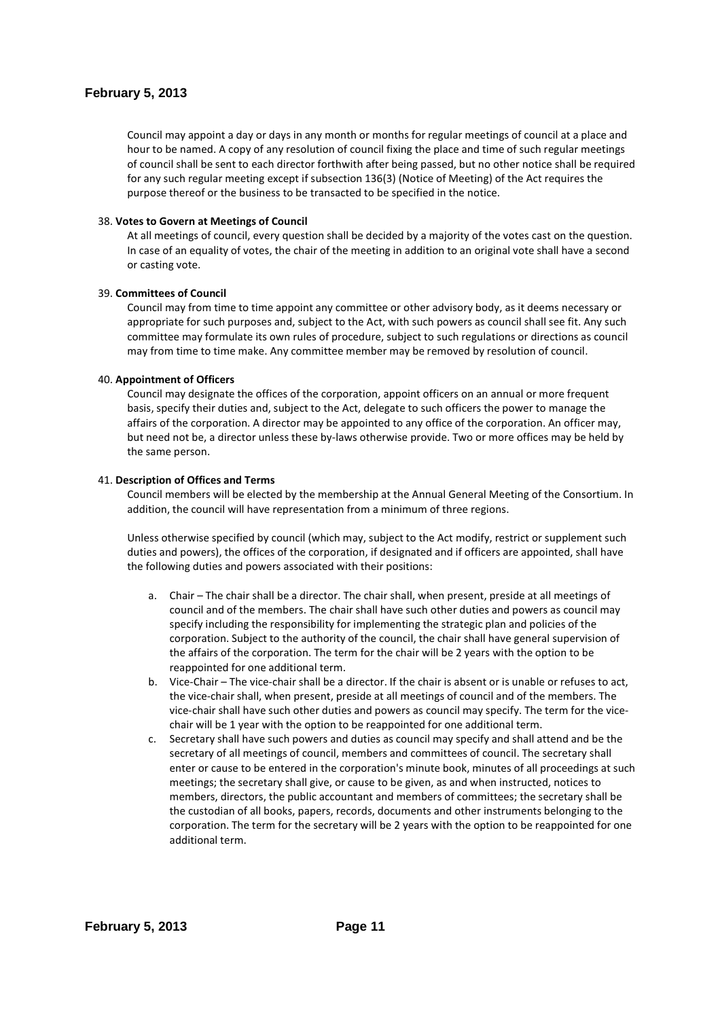Council may appoint a day or days in any month or months for regular meetings of council at a place and hour to be named. A copy of any resolution of council fixing the place and time of such regular meetings of council shall be sent to each director forthwith after being passed, but no other notice shall be required for any such regular meeting except if subsection 136(3) (Notice of Meeting) of the Act requires the purpose thereof or the business to be transacted to be specified in the notice.

### 38. **Votes to Govern at Meetings of Council**

At all meetings of council, every question shall be decided by a majority of the votes cast on the question. In case of an equality of votes, the chair of the meeting in addition to an original vote shall have a second or casting vote.

#### 39. **Committees of Council**

Council may from time to time appoint any committee or other advisory body, as it deems necessary or appropriate for such purposes and, subject to the Act, with such powers as council shall see fit. Any such committee may formulate its own rules of procedure, subject to such regulations or directions as council may from time to time make. Any committee member may be removed by resolution of council.

### 40. **Appointment of Officers**

Council may designate the offices of the corporation, appoint officers on an annual or more frequent basis, specify their duties and, subject to the Act, delegate to such officers the power to manage the affairs of the corporation. A director may be appointed to any office of the corporation. An officer may, but need not be, a director unless these by-laws otherwise provide. Two or more offices may be held by the same person.

#### 41. **Description of Offices and Terms**

Council members will be elected by the membership at the Annual General Meeting of the Consortium. In addition, the council will have representation from a minimum of three regions.

Unless otherwise specified by council (which may, subject to the Act modify, restrict or supplement such duties and powers), the offices of the corporation, if designated and if officers are appointed, shall have the following duties and powers associated with their positions:

- a. Chair The chair shall be a director. The chair shall, when present, preside at all meetings of council and of the members. The chair shall have such other duties and powers as council may specify including the responsibility for implementing the strategic plan and policies of the corporation. Subject to the authority of the council, the chair shall have general supervision of the affairs of the corporation. The term for the chair will be 2 years with the option to be reappointed for one additional term.
- b. Vice-Chair The vice-chair shall be a director. If the chair is absent or is unable or refuses to act, the vice-chair shall, when present, preside at all meetings of council and of the members. The vice-chair shall have such other duties and powers as council may specify. The term for the vicechair will be 1 year with the option to be reappointed for one additional term.
- c. Secretary shall have such powers and duties as council may specify and shall attend and be the secretary of all meetings of council, members and committees of council. The secretary shall enter or cause to be entered in the corporation's minute book, minutes of all proceedings at such meetings; the secretary shall give, or cause to be given, as and when instructed, notices to members, directors, the public accountant and members of committees; the secretary shall be the custodian of all books, papers, records, documents and other instruments belonging to the corporation. The term for the secretary will be 2 years with the option to be reappointed for one additional term.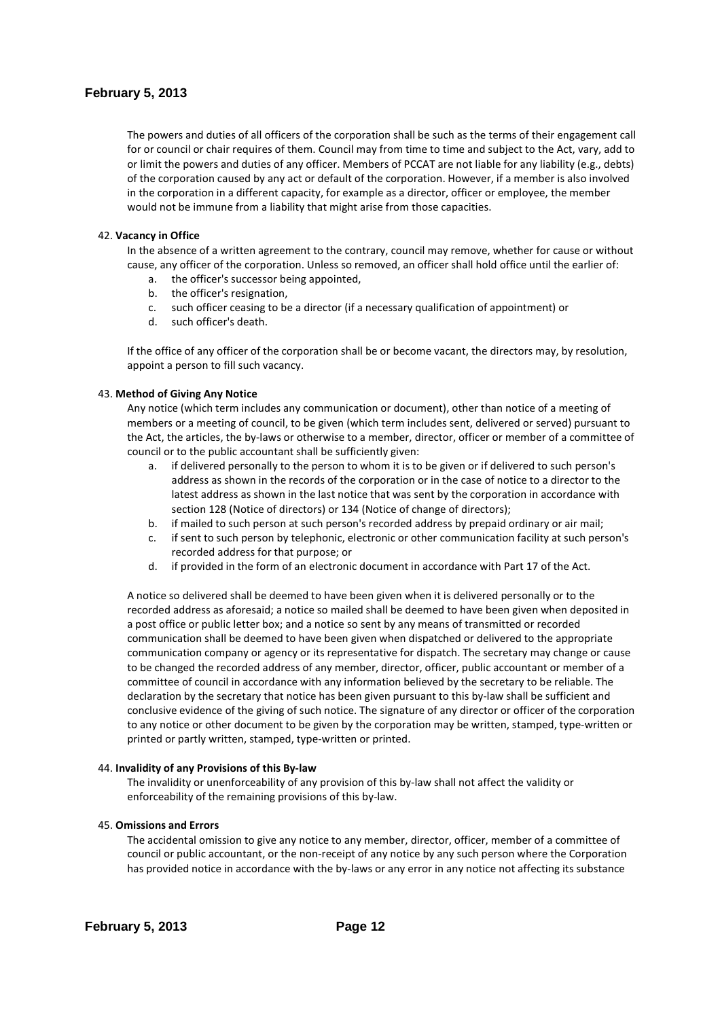The powers and duties of all officers of the corporation shall be such as the terms of their engagement call for or council or chair requires of them. Council may from time to time and subject to the Act, vary, add to or limit the powers and duties of any officer. Members of PCCAT are not liable for any liability (e.g., debts) of the corporation caused by any act or default of the corporation. However, if a member is also involved in the corporation in a different capacity, for example as a director, officer or employee, the member would not be immune from a liability that might arise from those capacities.

### 42. **Vacancy in Office**

In the absence of a written agreement to the contrary, council may remove, whether for cause or without cause, any officer of the corporation. Unless so removed, an officer shall hold office until the earlier of:

- a. the officer's successor being appointed,
- b. the officer's resignation,
- c. such officer ceasing to be a director (if a necessary qualification of appointment) or
- d. such officer's death.

If the office of any officer of the corporation shall be or become vacant, the directors may, by resolution, appoint a person to fill such vacancy.

### 43. **Method of Giving Any Notice**

Any notice (which term includes any communication or document), other than notice of a meeting of members or a meeting of council, to be given (which term includes sent, delivered or served) pursuant to the Act, the articles, the by-laws or otherwise to a member, director, officer or member of a committee of council or to the public accountant shall be sufficiently given:

- a. if delivered personally to the person to whom it is to be given or if delivered to such person's address as shown in the records of the corporation or in the case of notice to a director to the latest address as shown in the last notice that was sent by the corporation in accordance with section 128 (Notice of directors) or 134 (Notice of change of directors);
- b. if mailed to such person at such person's recorded address by prepaid ordinary or air mail;
- c. if sent to such person by telephonic, electronic or other communication facility at such person's recorded address for that purpose; or
- d. if provided in the form of an electronic document in accordance with Part 17 of the Act.

A notice so delivered shall be deemed to have been given when it is delivered personally or to the recorded address as aforesaid; a notice so mailed shall be deemed to have been given when deposited in a post office or public letter box; and a notice so sent by any means of transmitted or recorded communication shall be deemed to have been given when dispatched or delivered to the appropriate communication company or agency or its representative for dispatch. The secretary may change or cause to be changed the recorded address of any member, director, officer, public accountant or member of a committee of council in accordance with any information believed by the secretary to be reliable. The declaration by the secretary that notice has been given pursuant to this by-law shall be sufficient and conclusive evidence of the giving of such notice. The signature of any director or officer of the corporation to any notice or other document to be given by the corporation may be written, stamped, type-written or printed or partly written, stamped, type-written or printed.

#### 44. **Invalidity of any Provisions of this By-law**

The invalidity or unenforceability of any provision of this by-law shall not affect the validity or enforceability of the remaining provisions of this by-law.

#### 45. **Omissions and Errors**

The accidental omission to give any notice to any member, director, officer, member of a committee of council or public accountant, or the non-receipt of any notice by any such person where the Corporation has provided notice in accordance with the by-laws or any error in any notice not affecting its substance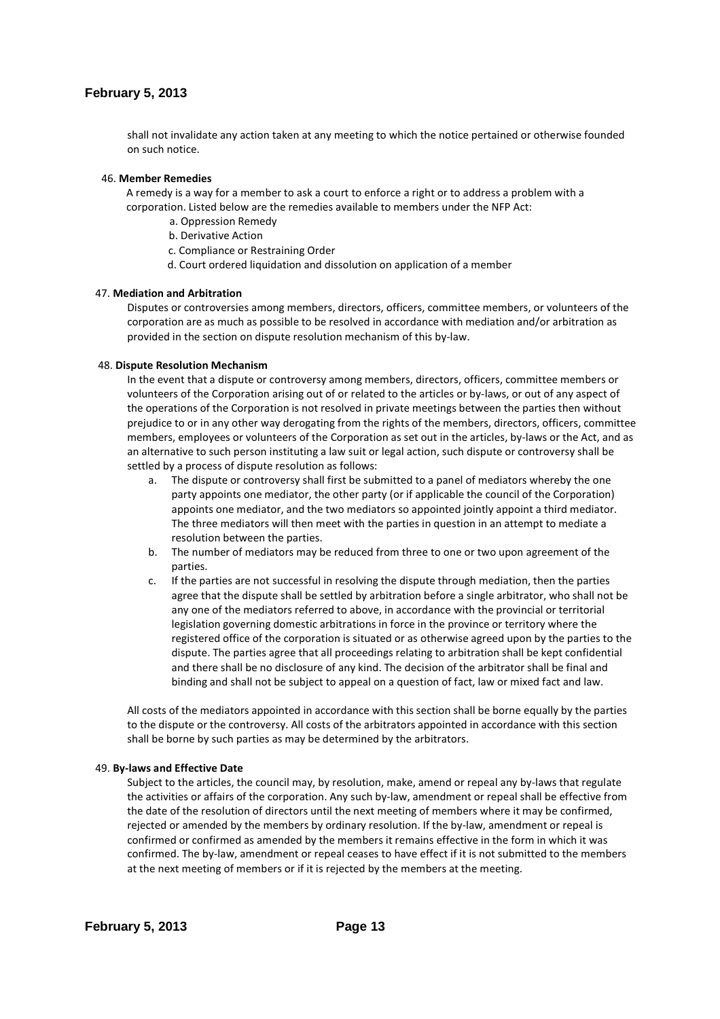shall not invalidate any action taken at any meeting to which the notice pertained or otherwise founded on such notice.

#### 46. **Member Remedies**

A remedy is a way for a member to ask a court to enforce a right or to address a problem with a corporation. Listed below are the remedies available to members under the NFP Act:

- a. Oppression Remedy
- b. Derivative Action
- c. Compliance or Restraining Order
- d. Court ordered liquidation and dissolution on application of a member

#### 47. **Mediation and Arbitration**

Disputes or controversies among members, directors, officers, committee members, or volunteers of the corporation are as much as possible to be resolved in accordance with mediation and/or arbitration as provided in the section on dispute resolution mechanism of this by-law.

#### 48. **Dispute Resolution Mechanism**

In the event that a dispute or controversy among members, directors, officers, committee members or volunteers of the Corporation arising out of or related to the articles or by-laws, or out of any aspect of the operations of the Corporation is not resolved in private meetings between the parties then without prejudice to or in any other way derogating from the rights of the members, directors, officers, committee members, employees or volunteers of the Corporation as set out in the articles, by-laws or the Act, and as an alternative to such person instituting a law suit or legal action, such dispute or controversy shall be settled by a process of dispute resolution as follows:

- a. The dispute or controversy shall first be submitted to a panel of mediators whereby the one party appoints one mediator, the other party (or if applicable the council of the Corporation) appoints one mediator, and the two mediators so appointed jointly appoint a third mediator. The three mediators will then meet with the parties in question in an attempt to mediate a resolution between the parties.
- b. The number of mediators may be reduced from three to one or two upon agreement of the parties.
- c. If the parties are not successful in resolving the dispute through mediation, then the parties agree that the dispute shall be settled by arbitration before a single arbitrator, who shall not be any one of the mediators referred to above, in accordance with the provincial or territorial legislation governing domestic arbitrations in force in the province or territory where the registered office of the corporation is situated or as otherwise agreed upon by the parties to the dispute. The parties agree that all proceedings relating to arbitration shall be kept confidential and there shall be no disclosure of any kind. The decision of the arbitrator shall be final and binding and shall not be subject to appeal on a question of fact, law or mixed fact and law.

All costs of the mediators appointed in accordance with this section shall be borne equally by the parties to the dispute or the controversy. All costs of the arbitrators appointed in accordance with this section shall be borne by such parties as may be determined by the arbitrators.

#### 49. **By-laws and Effective Date**

Subject to the articles, the council may, by resolution, make, amend or repeal any by-laws that regulate the activities or affairs of the corporation. Any such by-law, amendment or repeal shall be effective from the date of the resolution of directors until the next meeting of members where it may be confirmed, rejected or amended by the members by ordinary resolution. If the by-law, amendment or repeal is confirmed or confirmed as amended by the members it remains effective in the form in which it was confirmed. The by-law, amendment or repeal ceases to have effect if it is not submitted to the members at the next meeting of members or if it is rejected by the members at the meeting.